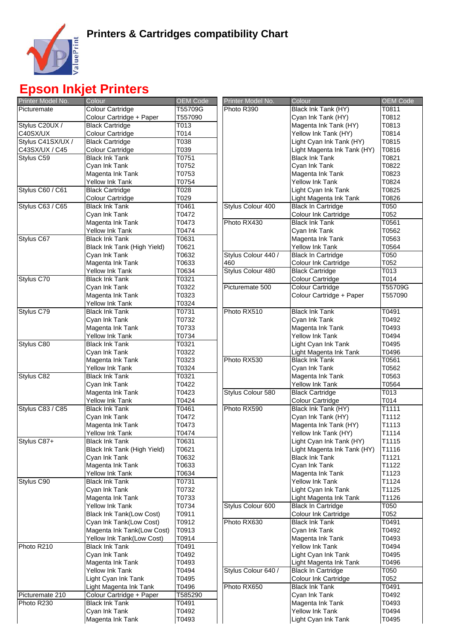

## **Epson Inkjet Printers**

| Printer Model No. | Colour                          | <b>OEM Code</b> | Printer Model No.   | Colour                      | <b>OEM Code</b> |
|-------------------|---------------------------------|-----------------|---------------------|-----------------------------|-----------------|
| Picturemate       | <b>Colour Cartridge</b>         | T55709G         | Photo R390          | Black Ink Tank (HY)         | T0811           |
|                   | Colour Cartridge + Paper        | T557090         |                     | Cyan Ink Tank (HY)          | T0812           |
| Stylus C20UX /    | <b>Black Cartridge</b>          | T013            |                     | Magenta Ink Tank (HY)       | T0813           |
| C40SX/UX          | Colour Cartridge                | T014            |                     | Yellow Ink Tank (HY)        | T0814           |
| Stylus C41SX/UX / | <b>Black Cartridge</b>          | T038            |                     | Light Cyan Ink Tank (HY)    | T0815           |
| C43SX/UX / C45    | Colour Cartridge                | T039            |                     | Light Magenta Ink Tank (HY) | T0816           |
| Stylus C59        | <b>Black Ink Tank</b>           | T0751           |                     | <b>Black Ink Tank</b>       | T0821           |
|                   | Cyan Ink Tank                   | T0752           |                     | Cyan Ink Tank               | T0822           |
|                   | Magenta Ink Tank                | T0753           |                     | Magenta Ink Tank            | T0823           |
|                   | Yellow Ink Tank                 | T0754           |                     | <b>Yellow Ink Tank</b>      | T0824           |
| Stylus C60 / C61  | <b>Black Cartridge</b>          | T028            |                     | Light Cyan Ink Tank         | T0825           |
|                   | Colour Cartridge                | T029            |                     | Light Magenta Ink Tank      | T0826           |
| Stylus C63 / C65  | <b>Black Ink Tank</b>           | T0461           | Stylus Colour 400   | <b>Black In Cartridge</b>   | T050            |
|                   | Cyan Ink Tank                   | T0472           |                     | Colour Ink Cartridge        | T052            |
|                   | Magenta Ink Tank                | T0473           | Photo RX430         | <b>Black Ink Tank</b>       | T0561           |
|                   | Yellow Ink Tank                 | T0474           |                     | Cyan Ink Tank               | T0562           |
| Stylus C67        | <b>Black Ink Tank</b>           | T0631           |                     | Magenta Ink Tank            | T0563           |
|                   | Black Ink Tank (High Yield)     | T0621           |                     | Yellow Ink Tank             | T0564           |
|                   | Cyan Ink Tank                   | T0632           | Stylus Colour 440 / | <b>Black In Cartridge</b>   | T050            |
|                   | Magenta Ink Tank                | T0633           | 460                 | Colour Ink Cartridge        | T052            |
|                   | Yellow Ink Tank                 | T0634           | Stylus Colour 480   | <b>Black Cartridge</b>      | T013            |
| Stylus C70        | <b>Black Ink Tank</b>           | T0321           |                     | Colour Cartridge            | T014            |
|                   | Cyan Ink Tank                   | T0322           | Picturemate 500     | <b>Colour Cartridge</b>     | T55709G         |
|                   | Magenta Ink Tank                | T0323           |                     | Colour Cartridge + Paper    | T557090         |
|                   | Yellow Ink Tank                 | T0324           |                     |                             |                 |
| Stylus C79        | <b>Black Ink Tank</b>           | T0731           | Photo RX510         | <b>Black Ink Tank</b>       | T0491           |
|                   | Cyan Ink Tank                   | T0732           |                     | Cyan Ink Tank               | T0492           |
|                   | Magenta Ink Tank                | T0733           |                     | Magenta Ink Tank            | T0493           |
|                   | Yellow Ink Tank                 | T0734           |                     | <b>Yellow Ink Tank</b>      | T0494           |
| Stylus C80        | <b>Black Ink Tank</b>           | T0321           |                     | Light Cyan Ink Tank         | T0495           |
|                   | Cyan Ink Tank                   | T0322           |                     | Light Magenta Ink Tank      | T0496           |
|                   | Magenta Ink Tank                | T0323           | Photo RX530         | <b>Black Ink Tank</b>       | T0561           |
|                   | <b>Yellow Ink Tank</b>          | T0324           |                     | Cyan Ink Tank               | T0562           |
| Stylus C82        | <b>Black Ink Tank</b>           | T0321           |                     | Magenta Ink Tank            | T0563           |
|                   | Cyan Ink Tank                   | T0422           |                     | Yellow Ink Tank             | T0564           |
|                   | Magenta Ink Tank                | T0423           | Stylus Colour 580   | <b>Black Cartridge</b>      | T013            |
|                   | Yellow Ink Tank                 | T0424           |                     | Colour Cartridge            | T014            |
| Stylus C83 / C85  | <b>Black Ink Tank</b>           | T0461           | Photo RX590         | Black Ink Tank (HY)         | T1111           |
|                   | Cyan Ink Tank                   | T0472           |                     | Cyan Ink Tank (HY)          | T1112           |
|                   | Magenta Ink Tank                | T0473           |                     | Magenta Ink Tank (HY)       | T1113           |
|                   | Yellow Ink Tank                 | T0474           |                     | Yellow Ink Tank (HY)        | T1114           |
| Stylus C87+       | <b>Black Ink Tank</b>           | T0631           |                     | Light Cyan Ink Tank (HY)    | T1115           |
|                   | Black Ink Tank (High Yield)     | T0621           |                     | Light Magenta Ink Tank (HY) | T1116           |
|                   | Cyan Ink Tank                   | T0632           |                     | <b>Black Ink Tank</b>       | T1121           |
|                   | Magenta Ink Tank                | T0633           |                     | Cyan Ink Tank               | T1122           |
|                   | Yellow Ink Tank                 | T0634           |                     | Magenta Ink Tank            | T1123           |
| Stylus C90        | <b>Black Ink Tank</b>           | T0731           |                     | Yellow Ink Tank             | T1124           |
|                   | Cyan Ink Tank                   | T0732           |                     | Light Cyan Ink Tank         | T1125           |
|                   | Magenta Ink Tank                | T0733           |                     | Light Magenta Ink Tank      | T1126           |
|                   | Yellow Ink Tank                 | T0734           | Stylus Colour 600   | <b>Black In Cartridge</b>   | T050            |
|                   | <b>Black Ink Tank(Low Cost)</b> | T0911           |                     | Colour Ink Cartridge        | T052            |
|                   | Cyan Ink Tank(Low Cost)         | T0912           | Photo RX630         | <b>Black Ink Tank</b>       | T0491           |
|                   | Magenta Ink Tank(Low Cost)      | T0913           |                     | Cyan Ink Tank               | T0492           |
|                   | Yellow Ink Tank(Low Cost)       | T0914           |                     | Magenta Ink Tank            | T0493           |
| Photo R210        | <b>Black Ink Tank</b>           | T0491           |                     | Yellow Ink Tank             | T0494           |
|                   | Cyan Ink Tank                   | T0492           |                     | Light Cyan Ink Tank         | T0495           |
|                   | Magenta Ink Tank                | T0493           |                     | Light Magenta Ink Tank      | T0496           |
|                   | Yellow Ink Tank                 | T0494           | Stylus Colour 640 / | <b>Black In Cartridge</b>   | T050            |
|                   | Light Cyan Ink Tank             | T0495           |                     | Colour Ink Cartridge        | T052            |
|                   | Light Magenta Ink Tank          | T0496           | Photo RX650         | <b>Black Ink Tank</b>       | T0491           |
| Picturemate 210   | Colour Cartridge + Paper        | T585290         |                     | Cyan Ink Tank               | T0492           |
| Photo R230        | <b>Black Ink Tank</b>           | T0491           |                     | Magenta Ink Tank            | T0493           |
|                   | Cyan Ink Tank                   | T0492           |                     | Yellow Ink Tank             | T0494           |
|                   | Magenta Ink Tank                | T0493           |                     | Light Cyan Ink Tank         | T0495           |
|                   |                                 |                 |                     |                             |                 |

| Colour                                   | <b>OEM Code</b> | Printer Model No.   | Colour                      | <b>OEM Code</b> |
|------------------------------------------|-----------------|---------------------|-----------------------------|-----------------|
| <b>Colour Cartridge</b>                  | T55709G         | Photo R390          | Black Ink Tank (HY)         | T0811           |
| Colour Cartridge + Paper                 | T557090         |                     | Cyan Ink Tank (HY)          | T0812           |
| <b>Black Cartridge</b>                   | T013            |                     | Magenta Ink Tank (HY)       | T0813           |
| Colour Cartridge                         | T014            |                     | Yellow Ink Tank (HY)        | T0814           |
| <b>Black Cartridge</b>                   | T038            |                     | Light Cyan Ink Tank (HY)    | T0815           |
| Colour Cartridge                         | T039            |                     | Light Magenta Ink Tank (HY) | T0816           |
| <b>Black Ink Tank</b>                    | T0751           |                     | <b>Black Ink Tank</b>       | T0821           |
| Cyan Ink Tank                            | T0752           |                     | Cyan Ink Tank               | T0822           |
| Magenta Ink Tank                         | T0753           |                     | Magenta Ink Tank            | T0823           |
| Yellow Ink Tank                          | T0754           |                     | <b>Yellow Ink Tank</b>      | T0824           |
| <b>Black Cartridge</b>                   | T028            |                     | Light Cyan Ink Tank         | T0825           |
| Colour Cartridge                         | T029            |                     | Light Magenta Ink Tank      | T0826           |
| <b>Black Ink Tank</b>                    | T0461           | Stylus Colour 400   | <b>Black In Cartridge</b>   | T050            |
| Cyan Ink Tank                            | T0472           |                     | Colour Ink Cartridge        | T052            |
| Magenta Ink Tank                         | T0473           | Photo RX430         | <b>Black Ink Tank</b>       | T0561           |
| <b>Yellow Ink Tank</b>                   | T0474           |                     | Cyan Ink Tank               | T0562           |
| <b>Black Ink Tank</b>                    | T0631           |                     | Magenta Ink Tank            | T0563           |
|                                          | T0621           |                     | Yellow Ink Tank             | T0564           |
| Black Ink Tank (High Yield)              | T0632           | Stylus Colour 440 / | <b>Black In Cartridge</b>   |                 |
| Cyan Ink Tank<br>Magenta Ink Tank        | T0633           | 460                 |                             | T050<br>T052    |
|                                          |                 | Stylus Colour 480   | Colour Ink Cartridge        |                 |
| Yellow Ink Tank<br><b>Black Ink Tank</b> | T0634           |                     | <b>Black Cartridge</b>      | T013            |
|                                          | T0321           |                     | Colour Cartridge            | T014            |
| Cyan Ink Tank                            | T0322           | Picturemate 500     | <b>Colour Cartridge</b>     | T55709G         |
| Magenta Ink Tank                         | T0323           |                     | Colour Cartridge + Paper    | T557090         |
| <b>Yellow Ink Tank</b>                   | T0324           |                     |                             |                 |
| <b>Black Ink Tank</b>                    | T0731           | Photo RX510         | <b>Black Ink Tank</b>       | T0491           |
| Cyan Ink Tank                            | T0732           |                     | Cyan Ink Tank               | T0492           |
| Magenta Ink Tank                         | T0733           |                     | Magenta Ink Tank            | T0493           |
| <b>Yellow Ink Tank</b>                   | T0734           |                     | <b>Yellow Ink Tank</b>      | T0494           |
| <b>Black Ink Tank</b>                    | T0321           |                     | Light Cyan Ink Tank         | T0495           |
| Cyan Ink Tank                            | T0322           |                     | Light Magenta Ink Tank      | T0496           |
| Magenta Ink Tank                         | T0323           | Photo RX530         | <b>Black Ink Tank</b>       | T0561           |
| Yellow Ink Tank                          | T0324           |                     | Cyan Ink Tank               | T0562           |
| <b>Black Ink Tank</b>                    | T0321           |                     | Magenta Ink Tank            | T0563           |
| Cyan Ink Tank                            | T0422           |                     | <b>Yellow Ink Tank</b>      | T0564           |
| Magenta Ink Tank                         | T0423           | Stylus Colour 580   | <b>Black Cartridge</b>      | T013            |
| <b>Yellow Ink Tank</b>                   | T0424           |                     | Colour Cartridge            | T014            |
| <b>Black Ink Tank</b>                    | T0461           | Photo RX590         | Black Ink Tank (HY)         | T1111           |
| Cyan Ink Tank                            | T0472           |                     | Cyan Ink Tank (HY)          | T1112           |
| Magenta Ink Tank                         | T0473           |                     | Magenta Ink Tank (HY)       | T1113           |
| <b>Yellow Ink Tank</b>                   | T0474           |                     | Yellow Ink Tank (HY)        | T1114           |
| <b>Black Ink Tank</b>                    | T0631           |                     | Light Cyan Ink Tank (HY)    | T1115           |
| Black Ink Tank (High Yield)              | T0621           |                     | Light Magenta Ink Tank (HY) | T1116           |
| Cyan Ink Tank                            | T0632           |                     | <b>Black Ink Tank</b>       | T1121           |
| Magenta Ink Tank                         | T0633           |                     | Cyan Ink Tank               | T1122           |
| Yellow Ink Tank                          | T0634           |                     | Magenta Ink Tank            | T1123           |
| <b>Black Ink Tank</b>                    | T0731           |                     | Yellow Ink Tank             | T1124           |
| Cyan Ink Tank                            | T0732           |                     | Light Cyan Ink Tank         | T1125           |
| Magenta Ink Tank                         | T0733           |                     | Light Magenta Ink Tank      | T1126           |
| Yellow Ink Tank                          | T0734           | Stylus Colour 600   | <b>Black In Cartridge</b>   | T050            |
| Black Ink Tank(Low Cost)                 | T0911           |                     | Colour Ink Cartridge        | T052            |
| Cyan Ink Tank(Low Cost)                  | T0912           | Photo RX630         | <b>Black Ink Tank</b>       | T0491           |
| Magenta Ink Tank(Low Cost)               | T0913           |                     | Cyan Ink Tank               | T0492           |
| Yellow Ink Tank(Low Cost)                | T0914           |                     | Magenta Ink Tank            | T0493           |
| <b>Black Ink Tank</b>                    | T0491           |                     | <b>Yellow Ink Tank</b>      | T0494           |
| Cyan Ink Tank                            | T0492           |                     | Light Cyan Ink Tank         | T0495           |
| Magenta Ink Tank                         | T0493           |                     | Light Magenta Ink Tank      | T0496           |
| <b>Yellow Ink Tank</b>                   | T0494           | Stylus Colour 640 / | <b>Black In Cartridge</b>   | T050            |
| Light Cyan Ink Tank                      | T0495           |                     | Colour Ink Cartridge        | T052            |
| Light Magenta Ink Tank                   | T0496           | Photo RX650         | <b>Black Ink Tank</b>       | T0491           |
| Colour Cartridge + Paper                 | T585290         |                     | Cyan Ink Tank               | T0492           |
| <b>Black Ink Tank</b>                    | T0491           |                     | Magenta Ink Tank            | T0493           |
| Cyan Ink Tank                            | T0492           |                     | <b>Yellow Ink Tank</b>      | T0494           |
| Magenta Ink Tank                         | T0493           |                     | Light Cyan Ink Tank         | T0495           |
|                                          |                 |                     |                             |                 |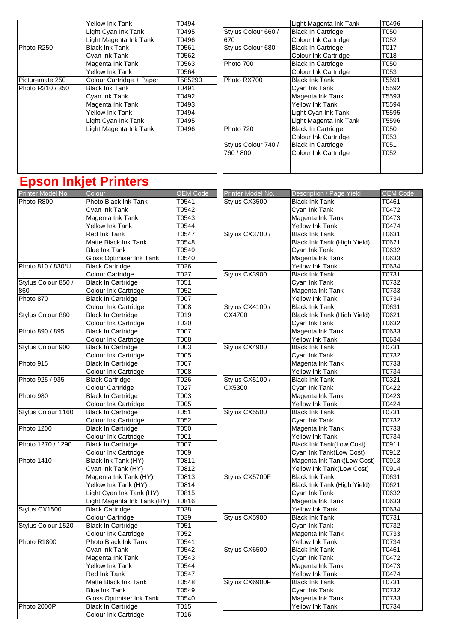|                  | <b>Yellow Ink Tank</b>   | T0494   |                     | Light Magenta Ink Tank      | T0496 |
|------------------|--------------------------|---------|---------------------|-----------------------------|-------|
|                  | Light Cyan Ink Tank      | T0495   | Stylus Colour 660 / | <b>Black In Cartridge</b>   | T050  |
|                  | Light Magenta Ink Tank   | T0496   | 670                 | Colour Ink Cartridge        | T052  |
| Photo R250       | <b>Black Ink Tank</b>    | T0561   | Stylus Colour 680   | <b>Black In Cartridge</b>   | T017  |
|                  | Cyan Ink Tank            | T0562   |                     | <b>Colour Ink Cartridge</b> | T018  |
|                  | Magenta Ink Tank         | T0563   | Photo 700           | <b>Black In Cartridge</b>   | T050  |
|                  | <b>Yellow Ink Tank</b>   | T0564   |                     | Colour Ink Cartridge        | T053  |
| Picturemate 250  | Colour Cartridge + Paper | T585290 | Photo RX700         | <b>Black Ink Tank</b>       | T5591 |
| Photo R310 / 350 | <b>Black Ink Tank</b>    | T0491   |                     | Cyan Ink Tank               | T5592 |
|                  | Cyan Ink Tank            | T0492   |                     | Magenta Ink Tank            | T5593 |
|                  | Magenta Ink Tank         | T0493   |                     | Yellow Ink Tank             | T5594 |
|                  | Yellow Ink Tank          | T0494   |                     | Light Cyan Ink Tank         | T5595 |
|                  | Light Cyan Ink Tank      | T0495   |                     | Light Magenta Ink Tank      | T5596 |
|                  | Light Magenta Ink Tank   | T0496   | Photo 720           | <b>Black In Cartridge</b>   | T050  |
|                  |                          |         |                     | Colour Ink Cartridge        | T053  |
|                  |                          |         | Stylus Colour 740 / | <b>Black In Cartridge</b>   | T051  |
|                  |                          |         | 760 / 800           | <b>Colour Ink Cartridge</b> | T052  |
|                  |                          |         |                     |                             |       |
|                  |                          |         |                     |                             |       |

# **Epson Inkjet Printers**

| Printer Model No.   | Colour                      | <b>OEM Code</b> | Printer Model No. | Description / Page Yield        | <b>OEM Code</b> |
|---------------------|-----------------------------|-----------------|-------------------|---------------------------------|-----------------|
| Photo R800          | Photo Black Ink Tank        | T0541           | Stylus CX3500     | <b>Black Ink Tank</b>           | T0461           |
|                     | Cyan Ink Tank               | T0542           |                   | Cyan Ink Tank                   | T0472           |
|                     | Magenta Ink Tank            | T0543           |                   | Magenta Ink Tank                | T0473           |
|                     | Yellow Ink Tank             | T0544           |                   | Yellow Ink Tank                 | T0474           |
|                     | <b>Red Ink Tank</b>         | T0547           | Stylus CX3700 /   | <b>Black Ink Tank</b>           | T0631           |
|                     | Matte Black Ink Tank        | T0548           |                   | Black Ink Tank (High Yield)     | T0621           |
|                     | <b>Blue Ink Tank</b>        | T0549           |                   | Cyan Ink Tank                   | T0632           |
|                     | Gloss Optimiser Ink Tank    | T0540           |                   | Magenta Ink Tank                | T0633           |
| Photo 810 / 830/U   | <b>Black Cartridge</b>      | T026            |                   | Yellow Ink Tank                 | T0634           |
|                     | <b>Colour Cartridge</b>     | T027            | Stylus CX3900     | <b>Black Ink Tank</b>           | T0731           |
| Stylus Colour 850 / | <b>Black In Cartridge</b>   | T051            |                   | Cyan Ink Tank                   | T0732           |
| 860                 | Colour Ink Cartridge        | T052            |                   | Magenta Ink Tank                | T0733           |
| Photo 870           | <b>Black In Cartridge</b>   | <b>T007</b>     |                   | Yellow Ink Tank                 | T0734           |
|                     | Colour Ink Cartridge        | T008            | Stylus CX4100 /   | <b>Black Ink Tank</b>           | T0631           |
| Stylus Colour 880   | <b>Black In Cartridge</b>   | T019            | CX4700            | Black Ink Tank (High Yield)     | T0621           |
|                     | Colour Ink Cartridge        | T020            |                   | Cyan Ink Tank                   | T0632           |
| Photo 890 / 895     | <b>Black In Cartridge</b>   | T007            |                   | Magenta Ink Tank                | T0633           |
|                     | Colour Ink Cartridge        | T008            |                   | <b>Yellow Ink Tank</b>          | T0634           |
| Stylus Colour 900   | <b>Black In Cartridge</b>   | T003            | Stylus CX4900     | <b>Black Ink Tank</b>           | T0731           |
|                     | Colour Ink Cartridge        | T005            |                   | Cyan Ink Tank                   | T0732           |
| Photo 915           | <b>Black In Cartridge</b>   | <b>T007</b>     |                   | Magenta Ink Tank                | T0733           |
|                     | Colour Ink Cartridge        | T008            |                   | Yellow Ink Tank                 | T0734           |
| Photo 925 / 935     | <b>Black Cartridge</b>      | T026            | Stylus CX5100 /   | <b>Black Ink Tank</b>           | T0321           |
|                     | Colour Cartridge            | T027            | CX5300            | Cyan Ink Tank                   | T0422           |
| Photo 980           | <b>Black In Cartridge</b>   | T003            |                   | Magenta Ink Tank                | T0423           |
|                     | Colour Ink Cartridge        | T005            |                   | <b>Yellow Ink Tank</b>          | T0424           |
| Stylus Colour 1160  | <b>Black In Cartridge</b>   | T051            | Stylus CX5500     | <b>Black Ink Tank</b>           | T0731           |
|                     | Colour Ink Cartridge        | T052            |                   | Cyan Ink Tank                   | T0732           |
| Photo 1200          | <b>Black In Cartridge</b>   | T050            |                   | Magenta Ink Tank                | T0733           |
|                     | Colour Ink Cartridge        | T001            |                   | <b>Yellow Ink Tank</b>          | T0734           |
| Photo 1270 / 1290   | <b>Black In Cartridge</b>   | T007            |                   | <b>Black Ink Tank(Low Cost)</b> | T0911           |
|                     | Colour Ink Cartridge        | T009            |                   | Cyan Ink Tank(Low Cost)         | T0912           |
| Photo 1410          | Black Ink Tank (HY)         | T0811           |                   | Magenta Ink Tank(Low Cost)      | T0913           |
|                     | Cyan Ink Tank (HY)          | T0812           |                   | Yellow Ink Tank(Low Cost)       | T0914           |
|                     | Magenta Ink Tank (HY)       | T0813           | Stylus CX5700F    | <b>Black Ink Tank</b>           | T0631           |
|                     | Yellow Ink Tank (HY)        | T0814           |                   | Black Ink Tank (High Yield)     | T0621           |
|                     | Light Cyan Ink Tank (HY)    | T0815           |                   | Cyan Ink Tank                   | T0632           |
|                     |                             | T0816           |                   | Magenta Ink Tank                | T0633           |
| Stylus CX1500       | Light Magenta Ink Tank (HY) |                 |                   |                                 |                 |
|                     | <b>Black Cartridge</b>      | T038            | Stylus CX5900     | Yellow Ink Tank                 | T0634           |
|                     | Colour Cartridge            | T039            |                   | <b>Black Ink Tank</b>           | T0731           |
| Stylus Colour 1520  | <b>Black In Cartridge</b>   | T051            |                   | Cyan Ink Tank                   | T0732           |
|                     | Colour Ink Cartridge        | T052            |                   | Magenta Ink Tank                | T0733           |
| Photo R1800         | Photo Black Ink Tank        | T0541           |                   | <b>Yellow Ink Tank</b>          | T0734           |
|                     | Cyan Ink Tank               | T0542           | Stylus CX6500     | <b>Black Ink Tank</b>           | T0461           |
|                     | Magenta Ink Tank            | T0543           |                   | Cyan Ink Tank                   | T0472           |
|                     | Yellow Ink Tank             | T0544           |                   | Magenta Ink Tank                | T0473           |
|                     | Red Ink Tank                | T0547           |                   | Yellow Ink Tank                 | T0474           |
|                     | Matte Black Ink Tank        | T0548           | Stylus CX6900F    | <b>Black Ink Tank</b>           | T0731           |
|                     | <b>Blue Ink Tank</b>        | T0549           |                   | Cyan Ink Tank                   | T0732           |
|                     | Gloss Optimiser Ink Tank    | T0540           |                   | Magenta Ink Tank                | T0733           |
| Photo 2000P         | <b>Black In Cartridge</b>   | T015            |                   | Yellow Ink Tank                 | T0734           |
|                     | Colour Ink Cartridge        | T016            |                   |                                 |                 |

| UL I IIILUI                 |                   |                   |                             |                   |
|-----------------------------|-------------------|-------------------|-----------------------------|-------------------|
| Colour                      | OEM Code          | Printer Model No. | Description / Page Yield    | <b>OEM Code</b>   |
| Photo Black Ink Tank        | T0541             | Stylus CX3500     | Black Ink Tank              | T0461             |
| Cyan Ink Tank               | T0542             |                   | Cyan Ink Tank               | T0472             |
| Magenta Ink Tank            | T0543             |                   | Magenta Ink Tank            | T0473             |
| <b>Yellow Ink Tank</b>      | T0544             |                   | <b>Yellow Ink Tank</b>      | T0474             |
| <b>Red Ink Tank</b>         | T0547             | Stylus CX3700 /   | <b>Black Ink Tank</b>       | T0631             |
| Matte Black Ink Tank        | T0548             |                   | Black Ink Tank (High Yield) | T0621             |
| <b>Blue Ink Tank</b>        | T0549             |                   | Cyan Ink Tank               | T0632             |
| Gloss Optimiser Ink Tank    | T0540             |                   | Magenta Ink Tank            | T0633             |
| <b>Black Cartridge</b>      | $\overline{1026}$ |                   | Yellow Ink Tank             | T0634             |
| Colour Cartridge            | T027              | Stylus CX3900     | <b>Black Ink Tank</b>       | T0731             |
| <b>Black In Cartridge</b>   | T051              |                   | Cyan Ink Tank               | T0732             |
| Colour Ink Cartridge        | T052              |                   | Magenta Ink Tank            | T0733             |
| <b>Black In Cartridge</b>   | T007              |                   | Yellow Ink Tank             | T0734             |
| Colour Ink Cartridge        | T008              | Stylus CX4100 /   | <b>Black Ink Tank</b>       | T0631             |
| <b>Black In Cartridge</b>   | T019              | CX4700            | Black Ink Tank (High Yield) | T0621             |
| Colour Ink Cartridge        | T020              |                   | Cyan Ink Tank               | T0632             |
| <b>Black In Cartridge</b>   | T007              |                   | Magenta Ink Tank            | T0633             |
| Colour Ink Cartridge        | T008              |                   | <b>Yellow Ink Tank</b>      | T0634             |
| <b>Black In Cartridge</b>   | T003              | Stylus CX4900     | <b>Black Ink Tank</b>       | T0731             |
| Colour Ink Cartridge        | T005              |                   | Cyan Ink Tank               | T0732             |
| <b>Black In Cartridge</b>   | T007              |                   | Magenta Ink Tank            | T0733             |
| Colour Ink Cartridge        | T008              |                   | Yellow Ink Tank             | T0734             |
| <b>Black Cartridge</b>      | T026              | Stylus CX5100 /   | <b>Black Ink Tank</b>       | T <sub>0321</sub> |
| Colour Cartridge            | T027              | CX5300            | Cyan Ink Tank               | T0422             |
| <b>Black In Cartridge</b>   | T003              |                   | Magenta Ink Tank            | T0423             |
| Colour Ink Cartridge        | T005              |                   | Yellow Ink Tank             | T0424             |
| <b>Black In Cartridge</b>   | T051              | Stylus CX5500     | <b>Black Ink Tank</b>       | T0731             |
| Colour Ink Cartridge        | T052              |                   | Cyan Ink Tank               | T0732             |
| <b>Black In Cartridge</b>   | T050              |                   | Magenta Ink Tank            | T0733             |
| Colour Ink Cartridge        | T001              |                   | <b>Yellow Ink Tank</b>      | T0734             |
| <b>Black In Cartridge</b>   | T007              |                   | Black Ink Tank(Low Cost)    | T0911             |
| Colour Ink Cartridge        | T009              |                   | Cyan Ink Tank(Low Cost)     | T0912             |
| Black Ink Tank (HY)         | T0811             |                   | Magenta Ink Tank(Low Cost)  | T0913             |
| Cyan Ink Tank (HY)          | T0812             |                   | Yellow Ink Tank(Low Cost)   | T0914             |
| Magenta Ink Tank (HY)       | T0813             | Stylus CX5700F    | Black Ink Tank              | T0631             |
| Yellow Ink Tank (HY)        | T0814             |                   | Black Ink Tank (High Yield) | T0621             |
| Light Cyan Ink Tank (HY)    | T0815             |                   | Cyan Ink Tank               | T0632             |
| Light Magenta Ink Tank (HY) | T0816             |                   | Magenta Ink Tank            | T0633             |
| <b>Black Cartridge</b>      | T038              |                   | Yellow Ink Tank             | T0634             |
| Colour Cartridge            | T039              | Stylus CX5900     | <b>Black Ink Tank</b>       | T0731             |
| <b>Black In Cartridge</b>   | T051              |                   | Cyan Ink Tank               | T0732             |
| Colour Ink Cartridge        | T052              |                   | Magenta Ink Tank            | T0733             |
| Photo Black Ink Tank        | T0541             |                   | Yellow Ink Tank             | T0734             |
| Cyan Ink Tank               | T0542             | Stylus CX6500     | <b>Black Ink Tank</b>       | T0461             |
| Magenta Ink Tank            | T0543             |                   | Cyan Ink Tank               | T0472             |
| <b>Yellow Ink Tank</b>      | T0544             |                   | Magenta Ink Tank            | T0473             |
| Red Ink Tank                | T0547             |                   | Yellow Ink Tank             | T0474             |
| Matte Black Ink Tank        | T0548             | Stylus CX6900F    | <b>Black Ink Tank</b>       | T0731             |
| <b>Blue Ink Tank</b>        | T0549             |                   | Cyan Ink Tank               | T0732             |
| Gloss Optimiser Ink Tank    | T0540             |                   | Magenta Ink Tank            | T0733             |
| <b>Black In Cartridge</b>   | T <sub>0</sub> 15 |                   | Yellow Ink Tank             | T0734             |